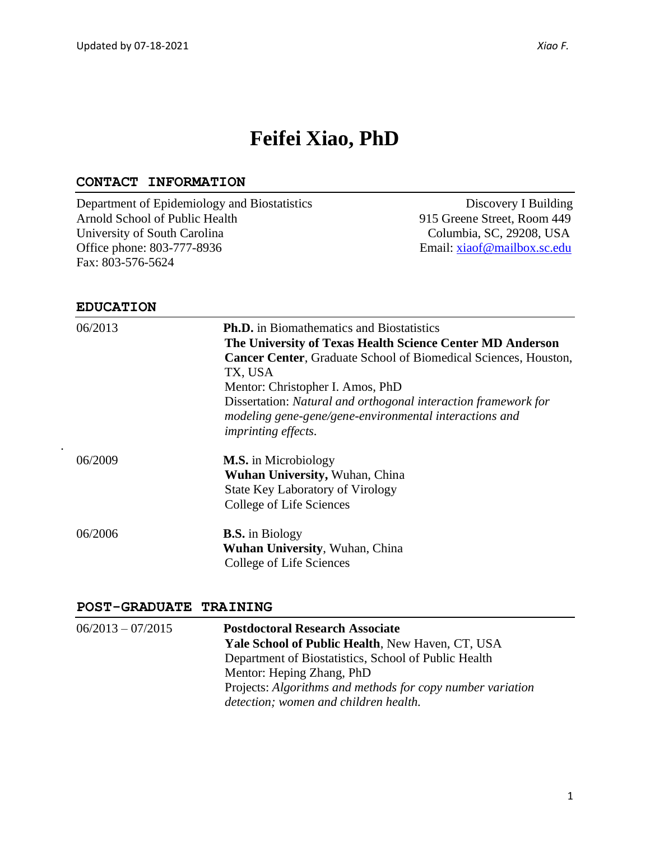# **Feifei Xiao, PhD**

## **CONTACT INFORMATION**

Department of Epidemiology and Biostatistics Discovery I Building Arnold School of Public Health 915 Greene Street, Room 449 University of South Carolina Columbia, SC, 29208, USA<br>
Office phone: 803-777-8936 Email: <u>xiaof@mailbox.sc.edu</u> Email: [xiaof@mailbox.sc.edu](mailto:xiaof@mailbox.sc.edu) Fax: 803-576-5624

#### **EDUCATION**

*.*

| 06/2013 | <b>Ph.D.</b> in Biomathematics and Biostatistics<br>The University of Texas Health Science Center MD Anderson<br><b>Cancer Center, Graduate School of Biomedical Sciences, Houston,</b><br>TX, USA<br>Mentor: Christopher I. Amos, PhD<br>Dissertation: Natural and orthogonal interaction framework for<br>modeling gene-gene/gene-environmental interactions and<br><i>imprinting effects.</i> |
|---------|--------------------------------------------------------------------------------------------------------------------------------------------------------------------------------------------------------------------------------------------------------------------------------------------------------------------------------------------------------------------------------------------------|
| 06/2009 | <b>M.S.</b> in Microbiology<br><b>Wuhan University, Wuhan, China</b><br><b>State Key Laboratory of Virology</b><br>College of Life Sciences                                                                                                                                                                                                                                                      |
| 06/2006 | <b>B.S.</b> in Biology<br>Wuhan University, Wuhan, China<br>College of Life Sciences                                                                                                                                                                                                                                                                                                             |

#### **POST-GRADUATE TRAINING**

| $06/2013 - 07/2015$ | <b>Postdoctoral Research Associate</b>                     |
|---------------------|------------------------------------------------------------|
|                     | <b>Yale School of Public Health, New Haven, CT, USA</b>    |
|                     | Department of Biostatistics, School of Public Health       |
|                     | Mentor: Heping Zhang, PhD                                  |
|                     | Projects: Algorithms and methods for copy number variation |
|                     | detection; women and children health.                      |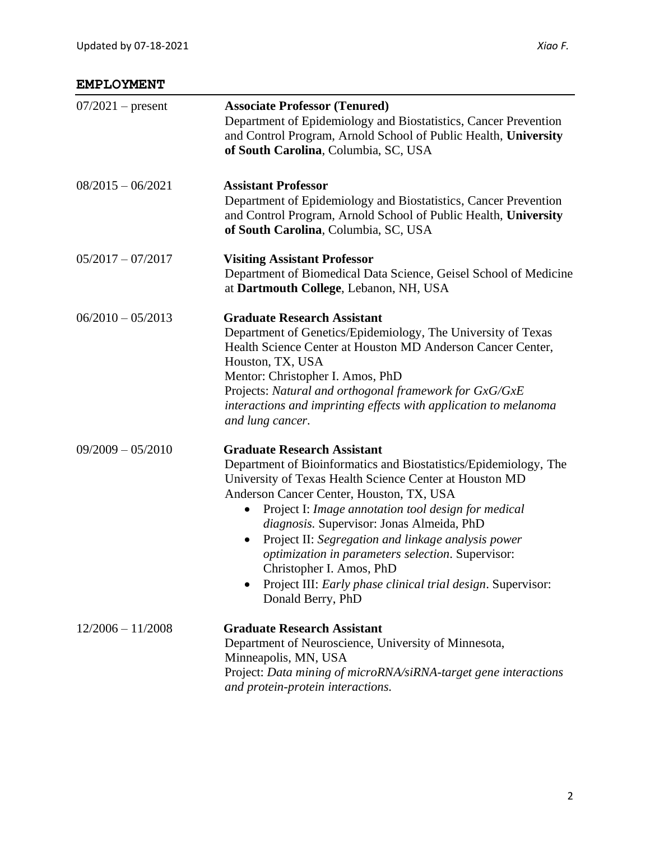| $07/2021$ – present | <b>Associate Professor (Tenured)</b><br>Department of Epidemiology and Biostatistics, Cancer Prevention<br>and Control Program, Arnold School of Public Health, University<br>of South Carolina, Columbia, SC, USA                                                                                                                                                                                                                                                                                                                                        |
|---------------------|-----------------------------------------------------------------------------------------------------------------------------------------------------------------------------------------------------------------------------------------------------------------------------------------------------------------------------------------------------------------------------------------------------------------------------------------------------------------------------------------------------------------------------------------------------------|
| $08/2015 - 06/2021$ | <b>Assistant Professor</b><br>Department of Epidemiology and Biostatistics, Cancer Prevention<br>and Control Program, Arnold School of Public Health, University<br>of South Carolina, Columbia, SC, USA                                                                                                                                                                                                                                                                                                                                                  |
| $05/2017 - 07/2017$ | <b>Visiting Assistant Professor</b><br>Department of Biomedical Data Science, Geisel School of Medicine<br>at Dartmouth College, Lebanon, NH, USA                                                                                                                                                                                                                                                                                                                                                                                                         |
| $06/2010 - 05/2013$ | <b>Graduate Research Assistant</b><br>Department of Genetics/Epidemiology, The University of Texas<br>Health Science Center at Houston MD Anderson Cancer Center,<br>Houston, TX, USA<br>Mentor: Christopher I. Amos, PhD<br>Projects: Natural and orthogonal framework for GxG/GxE<br>interactions and imprinting effects with application to melanoma<br>and lung cancer.                                                                                                                                                                               |
| $09/2009 - 05/2010$ | <b>Graduate Research Assistant</b><br>Department of Bioinformatics and Biostatistics/Epidemiology, The<br>University of Texas Health Science Center at Houston MD<br>Anderson Cancer Center, Houston, TX, USA<br>Project I: Image annotation tool design for medical<br>diagnosis. Supervisor: Jonas Almeida, PhD<br>Project II: Segregation and linkage analysis power<br>$\bullet$<br>optimization in parameters selection. Supervisor:<br>Christopher I. Amos, PhD<br>Project III: Early phase clinical trial design. Supervisor:<br>Donald Berry, PhD |
| $12/2006 - 11/2008$ | <b>Graduate Research Assistant</b><br>Department of Neuroscience, University of Minnesota,<br>Minneapolis, MN, USA<br>Project: Data mining of microRNA/siRNA-target gene interactions<br>and protein-protein interactions.                                                                                                                                                                                                                                                                                                                                |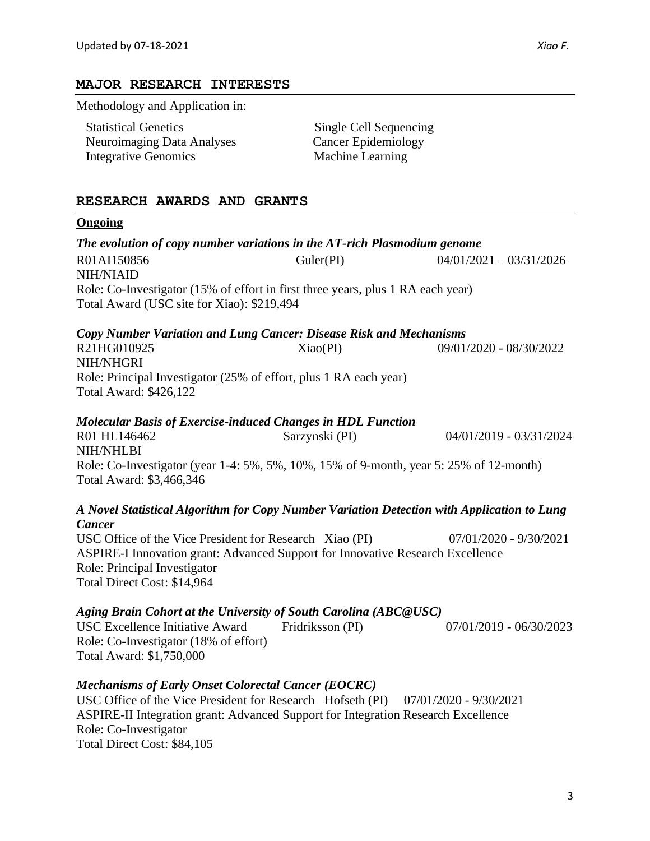#### **MAJOR RESEARCH INTERESTS**

Methodology and Application in:

| <b>Statistical Genetics</b>       |
|-----------------------------------|
| <b>Neuroimaging Data Analyses</b> |
| <b>Integrative Genomics</b>       |

Single Cell Sequencing Cancer Epidemiology Machine Learning

## **RESEARCH AWARDS AND GRANTS**

#### **Ongoing**

*The evolution of copy number variations in the AT-rich Plasmodium genome* R01AI150856 Guler(PI) 04/01/2021 – 03/31/2026 NIH/NIAID Role: Co-Investigator (15% of effort in first three years, plus 1 RA each year) Total Award (USC site for Xiao): \$219,494 *Copy Number Variation and Lung Cancer: Disease Risk and Mechanisms* R21HG010925 Xiao(PI) 09/01/2020 - 08/30/2022 NIH/NHGRI Role: Principal Investigator (25% of effort, plus 1 RA each year) Total Award: \$426,122 *Molecular Basis of Exercise-induced Changes in HDL Function* R01 HL146462 Sarzynski (PI) 04/01/2019 - 03/31/2024 NIH/NHLBI Role: Co-Investigator (year 1-4: 5%, 5%, 10%, 15% of 9-month, year 5: 25% of 12-month) Total Award: \$3,466,346 *A Novel Statistical Algorithm for Copy Number Variation Detection with Application to Lung Cancer* USC Office of the Vice President for Research Xiao (PI) 07/01/2020 - 9/30/2021 ASPIRE-I Innovation grant: Advanced Support for Innovative Research Excellence Role: Principal Investigator Total Direct Cost: \$14,964 *Aging Brain Cohort at the University of South Carolina (ABC@USC)*  USC Excellence Initiative Award Fridriksson (PI) 07/01/2019 - 06/30/2023

Role: Co-Investigator (18% of effort) Total Award: \$1,750,000

# *Mechanisms of Early Onset Colorectal Cancer (EOCRC)*

USC Office of the Vice President for Research Hofseth (PI) 07/01/2020 - 9/30/2021 ASPIRE-II Integration grant: Advanced Support for Integration Research Excellence Role: Co-Investigator Total Direct Cost: \$84,105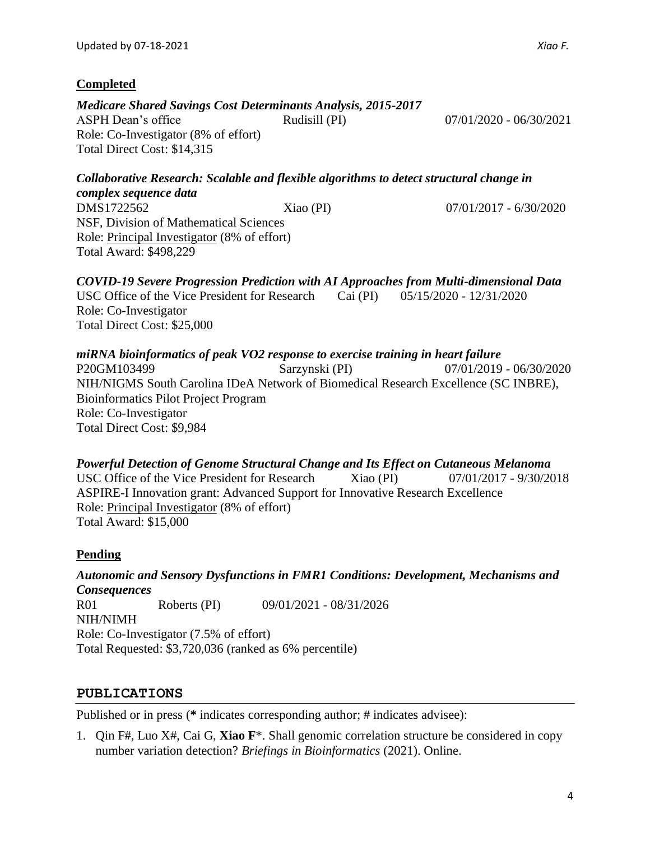# **Completed**

*Medicare Shared Savings Cost Determinants Analysis, 2015-2017* ASPH Dean's office Rudisill (PI) 07/01/2020 - 06/30/2021 Role: Co-Investigator (8% of effort) Total Direct Cost: \$14,315

*Collaborative Research: Scalable and flexible algorithms to detect structural change in complex sequence data* DMS1722562 Xiao (PI) 07/01/2017 - 6/30/2020 NSF, Division of Mathematical Sciences Role: Principal Investigator (8% of effort) Total Award: \$498,229

*COVID-19 Severe Progression Prediction with AI Approaches from Multi-dimensional Data* USC Office of the Vice President for Research Cai (PI) 05/15/2020 - 12/31/2020 Role: Co-Investigator Total Direct Cost: \$25,000

## *miRNA bioinformatics of peak VO2 response to exercise training in heart failure* P20GM103499 Sarzynski (PI) 07/01/2019 - 06/30/2020 NIH/NIGMS South Carolina IDeA Network of Biomedical Research Excellence (SC INBRE), Bioinformatics Pilot Project Program Role: Co-Investigator Total Direct Cost: \$9,984

*Powerful Detection of Genome Structural Change and Its Effect on Cutaneous Melanoma* USC Office of the Vice President for Research Xiao (PI) 07/01/2017 - 9/30/2018 ASPIRE-I Innovation grant: Advanced Support for Innovative Research Excellence Role: Principal Investigator (8% of effort) Total Award: \$15,000

# **Pending**

*Autonomic and Sensory Dysfunctions in FMR1 Conditions: Development, Mechanisms and Consequences* R01 Roberts (PI) 09/01/2021 - 08/31/2026 NIH/NIMH Role: Co-Investigator (7.5% of effort) Total Requested: \$3,720,036 (ranked as 6% percentile)

# **PUBLICATIONS**

Published or in press (**\*** indicates corresponding author; # indicates advisee):

1. Qin F#, Luo X#, Cai G, **Xiao F**\*. Shall genomic correlation structure be considered in copy number variation detection? *Briefings in Bioinformatics* (2021). Online.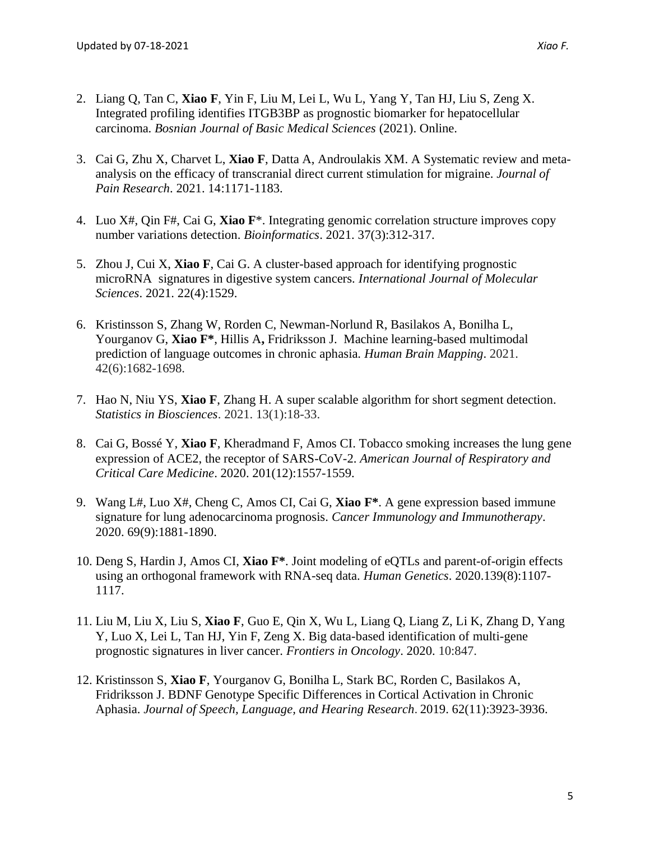- 2. Liang Q, Tan C, **Xiao F**, Yin F, Liu M, Lei L, Wu L, Yang Y, Tan HJ, Liu S, Zeng X. Integrated profiling identifies ITGB3BP as prognostic biomarker for hepatocellular carcinoma. *Bosnian Journal of Basic Medical Sciences* (2021). Online.
- 3. Cai G, Zhu X, Charvet L, **Xiao F**, Datta A, Androulakis XM. A Systematic review and metaanalysis on the efficacy of transcranial direct current stimulation for migraine. *Journal of Pain Research*. 2021. 14:1171-1183.
- 4. Luo X#, Qin F#, Cai G, **Xiao F**\*. Integrating genomic correlation structure improves copy number variations detection. *Bioinformatics*. 2021. 37(3):312-317.
- 5. Zhou J, Cui X, **Xiao F**, Cai G. A cluster-based approach for identifying prognostic microRNA signatures in digestive system cancers. *International Journal of Molecular Sciences*. 2021. 22(4):1529.
- 6. Kristinsson S, Zhang W, Rorden C, Newman-Norlund R, Basilakos A, Bonilha L, Yourganov G, **Xiao F\***, Hillis A**,** Fridriksson J. Machine learning-based multimodal prediction of language outcomes in chronic aphasia. *Human Brain Mapping*. 2021. 42(6):1682-1698.
- 7. Hao N, Niu YS, **Xiao F**, Zhang H. A super scalable algorithm for short segment detection. *Statistics in Biosciences*. 2021. 13(1):18-33.
- 8. Cai G, Bossé Y, **Xiao F**, Kheradmand F, Amos CI. Tobacco smoking increases the lung gene expression of ACE2, the receptor of SARS-CoV-2. *American Journal of Respiratory and Critical Care Medicine*. 2020. 201(12):1557-1559.
- 9. Wang L#, Luo X#, Cheng C, Amos CI, Cai G, **Xiao F\***. A gene expression based immune signature for lung adenocarcinoma prognosis. *Cancer Immunology and Immunotherapy*. 2020. 69(9):1881-1890.
- 10. Deng S, Hardin J, Amos CI, **Xiao F\***. Joint modeling of eQTLs and parent-of-origin effects using an orthogonal framework with RNA-seq data. *Human Genetics*. 2020.139(8):1107- 1117.
- 11. Liu M, Liu X, Liu S, **Xiao F**, Guo E, Qin X, Wu L, Liang Q, Liang Z, Li K, Zhang D, Yang Y, Luo X, Lei L, Tan HJ, Yin F, Zeng X. Big data-based identification of multi-gene prognostic signatures in liver cancer. *Frontiers in Oncology*. 2020. 10:847.
- 12. Kristinsson S, **Xiao F**, Yourganov G, Bonilha L, Stark BC, Rorden C, Basilakos A, Fridriksson J. BDNF Genotype Specific Differences in Cortical Activation in Chronic Aphasia. *Journal of Speech, Language, and Hearing Research*. 2019. 62(11):3923-3936.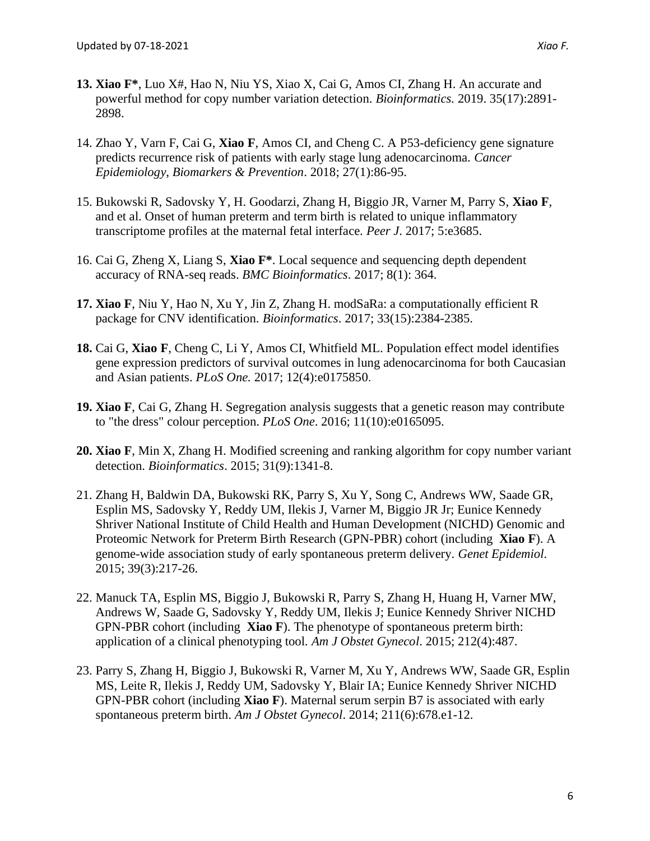- **13. Xiao F\***, Luo X#, Hao N, Niu YS, Xiao X, Cai G, Amos CI, Zhang H. An accurate and powerful method for copy number variation detection. *Bioinformatics.* 2019. 35(17):2891- 2898.
- 14. Zhao Y, Varn F, Cai G, **Xiao F**, Amos CI, and Cheng C. A P53-deficiency gene signature predicts recurrence risk of patients with early stage lung adenocarcinoma. *Cancer Epidemiology, Biomarkers & Prevention*. 2018; 27(1):86-95.
- 15. Bukowski R, Sadovsky Y, H. Goodarzi, Zhang H, Biggio JR, Varner M, Parry S, **Xiao F**, and et al. Onset of human preterm and term birth is related to unique inflammatory transcriptome profiles at the maternal fetal interface. *Peer J*. 2017; 5:e3685.
- 16. Cai G, Zheng X, Liang S, **Xiao F\***. Local sequence and sequencing depth dependent accuracy of RNA-seq reads. *BMC Bioinformatics*. 2017; 8(1): 364.
- **17. Xiao F**, Niu Y, Hao N, Xu Y, Jin Z, Zhang H. modSaRa: a computationally efficient R package for CNV identification. *Bioinformatics*. 2017; 33(15):2384-2385.
- **18.** Cai G, **Xiao F**, Cheng C, Li Y, Amos CI, Whitfield ML. Population effect model identifies gene expression predictors of survival outcomes in lung adenocarcinoma for both Caucasian and Asian patients. *PLoS One.* 2017; 12(4):e0175850.
- **19. Xiao F**, Cai G, Zhang H. Segregation analysis suggests that a genetic reason may contribute to "the dress" colour perception. *PLoS One*. 2016; 11(10):e0165095.
- **20. Xiao F**, Min X, Zhang H. Modified screening and ranking algorithm for copy number variant detection. *Bioinformatics*. 2015; 31(9):1341-8.
- 21. Zhang H, Baldwin DA, Bukowski RK, Parry S, Xu Y, Song C, Andrews WW, Saade GR, Esplin MS, Sadovsky Y, Reddy UM, Ilekis J, Varner M, Biggio JR Jr; Eunice Kennedy Shriver National Institute of Child Health and Human Development (NICHD) Genomic and Proteomic Network for Preterm Birth Research (GPN-PBR) cohort (including **Xiao F**). [A](http://www.ncbi.nlm.nih.gov/pubmed/25599974)  [genome-wide association study of early spontaneous preterm delivery.](http://www.ncbi.nlm.nih.gov/pubmed/25599974) *Genet Epidemiol*. 2015; 39(3):217-26.
- 22. Manuck TA, Esplin MS, Biggio J, Bukowski R, Parry S, Zhang H, Huang H, Varner MW, Andrews W, Saade G, Sadovsky Y, Reddy UM, Ilekis J; Eunice Kennedy Shriver NICHD GPN-PBR cohort (including **Xiao F**). The phenotype of spontaneous preterm birth: application of a clinical phenotyping tool. *Am J Obstet Gynecol*. 2015; 212(4):487.
- 23. Parry S, Zhang H, Biggio J, Bukowski R, Varner M, Xu Y, Andrews WW, Saade GR, Esplin MS, Leite R, Ilekis J, Reddy UM, Sadovsky Y, Blair IA; Eunice Kennedy Shriver NICHD GPN-PBR cohort (including **Xiao F**). Maternal serum serpin B7 is associated with early spontaneous preterm birth. *Am J Obstet Gynecol*. 2014; 211(6):678.e1-12.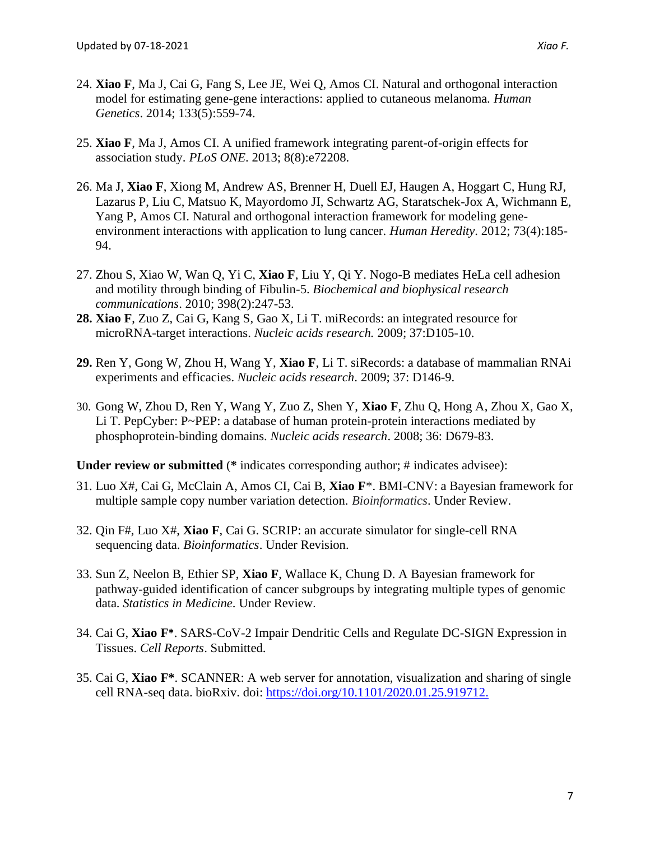- 24. **Xiao F**, Ma J, Cai G, Fang S, Lee JE, Wei Q, Amos CI. Natural and orthogonal interaction model for estimating gene-gene interactions: applied to cutaneous melanoma. *Human Genetics*. 2014; 133(5):559-74.
- 25. **Xiao F**, Ma J, Amos CI. A unified framework integrating parent-of-origin effects for association study. *PLoS ONE*. 2013; 8(8):e72208.
- 26. Ma J, **Xiao F**, Xiong M, Andrew AS, Brenner H, Duell EJ, Haugen A, Hoggart C, Hung RJ, Lazarus P, Liu C, Matsuo K, Mayordomo JI, Schwartz AG, Staratschek-Jox A, Wichmann E, Yang P, Amos CI. Natural and orthogonal interaction framework for modeling geneenvironment interactions with application to lung cancer. *Human Heredity*. 2012; 73(4):185- 94.
- 27. Zhou S, Xiao W, Wan Q, Yi C, **Xiao F**, Liu Y, Qi Y. Nogo-B mediates HeLa cell adhesion and motility through binding of Fibulin-5. *Biochemical and biophysical research communications*. 2010; 398(2):247-53.
- **28. Xiao F**, Zuo Z, Cai G, Kang S, Gao X, Li T. miRecords: an integrated resource for microRNA-target interactions. *Nucleic acids research.* 2009; 37:D105-10.
- **29.** Ren Y, Gong W, Zhou H, Wang Y, **Xiao F**, Li T. siRecords: a database of mammalian RNAi experiments and efficacies. *Nucleic acids research*. 2009; 37: D146-9.
- 30. Gong W, Zhou D, Ren Y, Wang Y, Zuo Z, Shen Y, **Xiao F**, Zhu Q, Hong A, Zhou X, Gao X, Li T. PepCyber: P~PEP: a database of human protein-protein interactions mediated by phosphoprotein-binding domains. *Nucleic acids research*. 2008; 36: D679-83.

**Under review or submitted** (**\*** indicates corresponding author; # indicates advisee):

- 31. Luo X#, Cai G, McClain A, Amos CI, Cai B, **Xiao F**\*. BMI-CNV: a Bayesian framework for multiple sample copy number variation detection. *Bioinformatics*. Under Review.
- 32. Qin F#, Luo X#, **Xiao F**, Cai G. SCRIP: an accurate simulator for single-cell RNA sequencing data. *Bioinformatics*. Under Revision.
- 33. Sun Z, Neelon B, Ethier SP, **Xiao F**, Wallace K, Chung D. A Bayesian framework for pathway-guided identification of cancer subgroups by integrating multiple types of genomic data. *Statistics in Medicine*. Under Review.
- 34. Cai G, **Xiao F\***. SARS-CoV-2 Impair Dendritic Cells and Regulate DC-SIGN Expression in Tissues. *Cell Reports*. Submitted.
- 35. Cai G, **Xiao F\***. SCANNER: A web server for annotation, visualization and sharing of single cell RNA-seq data. bioRxiv. doi: [https://doi.org/10.1101/2020.01.25.919712.](https://doi.org/10.1101/2020.01.25.919712)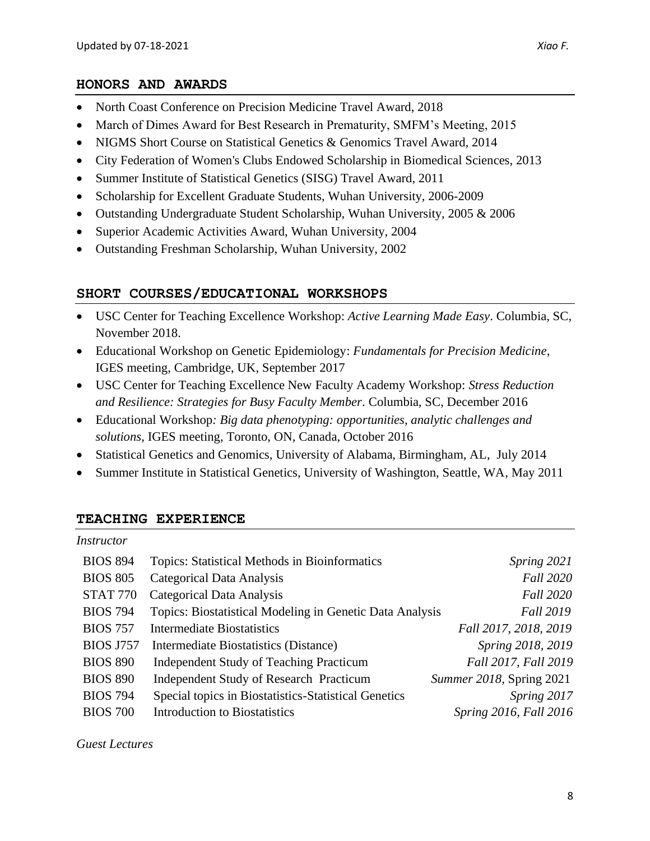## **HONORS AND AWARDS**

- North Coast Conference on Precision Medicine Travel Award, 2018
- March of Dimes Award for Best Research in Prematurity, SMFM's Meeting, 2015
- NIGMS Short Course on Statistical Genetics & Genomics Travel Award, 2014
- City Federation of Women's Clubs Endowed Scholarship in Biomedical Sciences, 2013
- Summer Institute of Statistical Genetics (SISG) Travel Award, 2011
- Scholarship for Excellent Graduate Students, Wuhan University, 2006-2009
- Outstanding Undergraduate Student Scholarship, Wuhan University, 2005 & 2006
- Superior Academic Activities Award, Wuhan University, 2004
- Outstanding Freshman Scholarship, Wuhan University, 2002

# **SHORT COURSES/EDUCATIONAL WORKSHOPS**

- USC Center for Teaching Excellence Workshop: *Active Learning Made Easy*. Columbia, SC, November 2018.
- Educational Workshop on Genetic Epidemiology: *Fundamentals for Precision Medicine*, IGES meeting, Cambridge, UK, September 2017
- USC Center for Teaching Excellence New Faculty Academy Workshop: *Stress Reduction and Resilience: Strategies for Busy Faculty Member*. Columbia, SC, December 2016
- Educational Workshop*: Big data phenotyping: opportunities, analytic challenges and solutions*, IGES meeting, Toronto, ON, Canada, October 2016
- Statistical Genetics and Genomics, University of Alabama, Birmingham, AL, July 2014
- Summer Institute in Statistical Genetics, University of Washington, Seattle, WA, May 2011

# **TEACHING EXPERIENCE**

BIOS 894 Topics: Statistical Methods in Bioinformatics *Spring 2021* BIOS 805 Categorical Data Analysis *Fall 2020* STAT 770 Categorical Data Analysis *Fall 2020* BIOS 794 Topics: Biostatistical Modeling in Genetic Data Analysis *Fall 2019* BIOS 757 Intermediate Biostatistics *Fall 2017, 2018, 2019* BIOS J757 Intermediate Biostatistics (Distance) *Spring 2018, 2019* BIOS 890 Independent Study of Teaching Practicum *Fall 2017, Fall 2019* BIOS 890 Independent Study of Research Practicum *Summer 2018,* Spring 2021 BIOS 794 Special topics in Biostatistics-Statistical Genetics *Spring 2017* BIOS 700 Introduction to Biostatistics *Spring 2016, Fall 2016* 

*Guest Lectures*

*Instructor*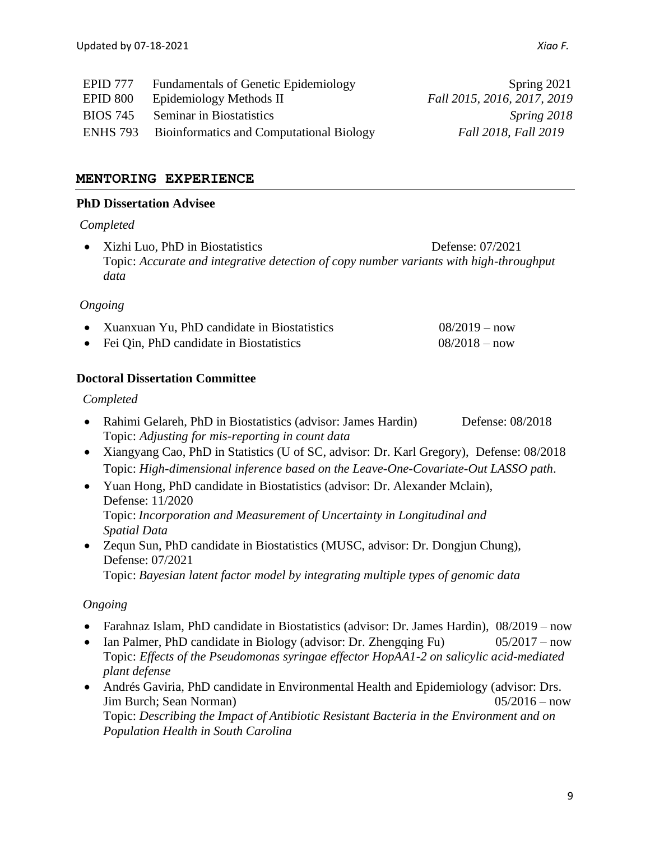| <b>EPID</b> 777 | <b>Fundamentals of Genetic Epidemiology</b>     | Spring 2021                 |
|-----------------|-------------------------------------------------|-----------------------------|
| <b>EPID 800</b> | Epidemiology Methods II                         | Fall 2015, 2016, 2017, 2019 |
| <b>BIOS</b> 745 | <b>Seminar in Biostatistics</b>                 | Spring 2018                 |
| ENHS 793        | <b>Bioinformatics and Computational Biology</b> | Fall 2018, Fall 2019        |

# **MENTORING EXPERIENCE**

#### **PhD Dissertation Advisee**

#### *Completed*

• Xizhi Luo, PhD in Biostatistics Defense: 07/2021 Topic: *Accurate and integrative detection of copy number variants with high-throughput data*

#### *Ongoing*

| • Xuanxuan Yu, PhD candidate in Biostatistics | $08/2019 - now$ |
|-----------------------------------------------|-----------------|
| • Fei Qin, PhD candidate in Biostatistics     | $08/2018 - now$ |

#### **Doctoral Dissertation Committee**

#### *Completed*

- Rahimi Gelareh, PhD in Biostatistics (advisor: James Hardin) Defense: 08/2018 Topic: *Adjusting for mis-reporting in count data*
- Xiangyang Cao, PhD in Statistics (U of SC, advisor: Dr. Karl Gregory), Defense: 08/2018 Topic: *High-dimensional inference based on the Leave-One-Covariate-Out LASSO path*.
- Yuan Hong, PhD candidate in Biostatistics (advisor: Dr. Alexander Mclain), Defense: 11/2020 Topic: *Incorporation and Measurement of Uncertainty in Longitudinal and Spatial Data*
- Zequn Sun, PhD candidate in Biostatistics (MUSC, advisor: Dr. Dongjun Chung), Defense: 07/2021 Topic: *Bayesian latent factor model by integrating multiple types of genomic data*

#### *Ongoing*

- Farahnaz Islam, PhD candidate in Biostatistics (advisor: Dr. James Hardin),  $08/2019 \text{now}$
- Ian Palmer, PhD candidate in Biology (advisor: Dr. Zhengqing Fu)  $05/2017 now$ Topic: *Effects of the Pseudomonas syringae effector HopAA1-2 on salicylic acid-mediated plant defense*
- Andrés Gaviria, PhD candidate in Environmental Health and Epidemiology (advisor: Drs. Jim Burch; Sean Norman) 05/2016 – now Topic: *Describing the Impact of Antibiotic Resistant Bacteria in the Environment and on Population Health in South Carolina*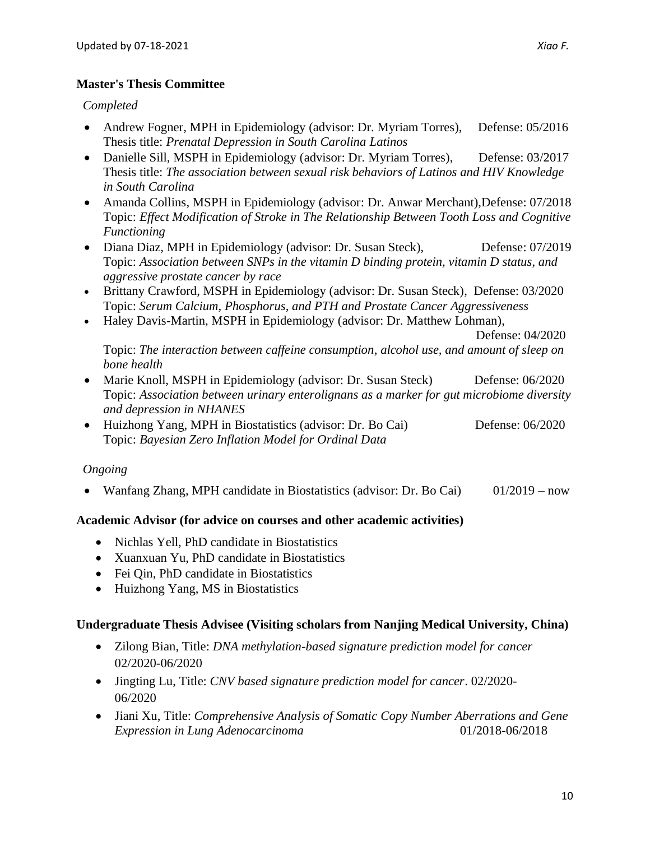*Completed*

- Andrew Fogner, MPH in Epidemiology (advisor: Dr. Myriam Torres), Defense: 05/2016 Thesis title: *Prenatal Depression in South Carolina Latinos*
- Danielle Sill, MSPH in Epidemiology (advisor: Dr. Myriam Torres), Defense: 03/2017 Thesis title: *The association between sexual risk behaviors of Latinos and HIV Knowledge in South Carolina*
- Amanda Collins, MSPH in Epidemiology (advisor: Dr. Anwar Merchant),Defense: 07/2018 Topic: *Effect Modification of Stroke in The Relationship Between Tooth Loss and Cognitive Functioning*
- Diana Diaz, MPH in Epidemiology (advisor: Dr. Susan Steck), Defense: 07/2019 Topic: *Association between SNPs in the vitamin D binding protein, vitamin D status, and aggressive prostate cancer by race*
- Brittany Crawford, MSPH in Epidemiology (advisor: Dr. Susan Steck), Defense: 03/2020 Topic: *Serum Calcium, Phosphorus, and PTH and Prostate Cancer Aggressiveness*
- Haley Davis-Martin, MSPH in Epidemiology (advisor: Dr. Matthew Lohman),

Defense: 04/2020

Topic: *The interaction between caffeine consumption, alcohol use, and amount of sleep on bone health*

- Marie Knoll, MSPH in Epidemiology (advisor: Dr. Susan Steck) Defense: 06/2020 Topic: *Association between urinary enterolignans as a marker for gut microbiome diversity and depression in NHANES*
- Huizhong Yang, MPH in Biostatistics (advisor: Dr. Bo Cai) Defense: 06/2020 Topic: *Bayesian Zero Inflation Model for Ordinal Data*

# *Ongoing*

• Wanfang Zhang, MPH candidate in Biostatistics (advisor: Dr. Bo Cai) 01/2019 – now

# **Academic Advisor (for advice on courses and other academic activities)**

- Nichlas Yell, PhD candidate in Biostatistics
- Xuanxuan Yu, PhD candidate in Biostatistics
- Fei Qin, PhD candidate in Biostatistics
- Huizhong Yang, MS in Biostatistics

# **Undergraduate Thesis Advisee (Visiting scholars from Nanjing Medical University, China)**

- Zilong Bian, Title: *DNA methylation-based signature prediction model for cancer*  02/2020-06/2020
- Jingting Lu, Title: *CNV based signature prediction model for cancer*. 02/2020- 06/2020
- Jiani Xu, Title: *Comprehensive Analysis of Somatic Copy Number Aberrations and Gene Expression in Lung Adenocarcinoma* 01/2018-06/2018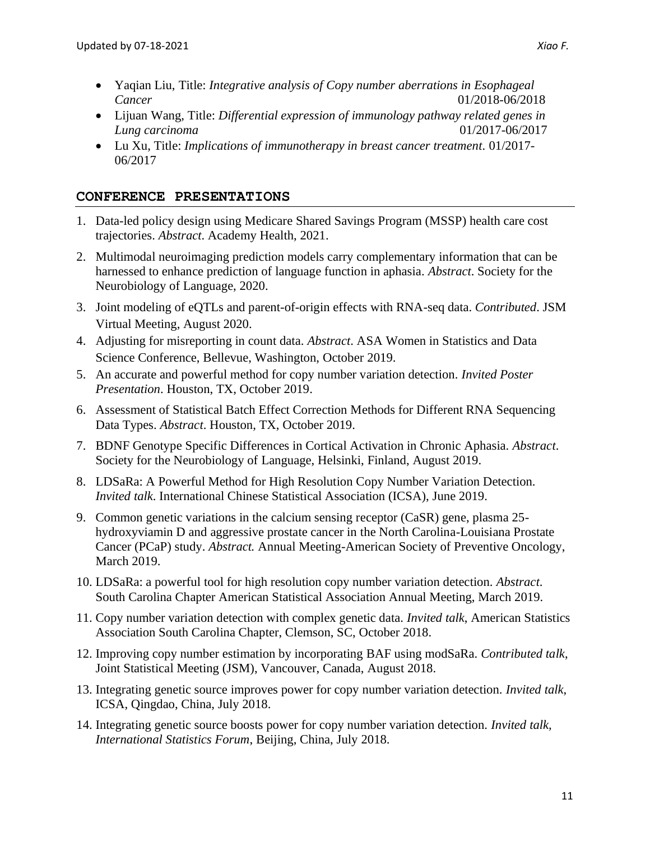- Yaqian Liu, Title: *Integrative analysis of Copy number aberrations in Esophageal Cancer* 01/2018-06/2018
- Lijuan Wang, Title: *Differential expression of immunology pathway related genes in Lung carcinoma* 01/2017-06/2017
- Lu Xu, Title: *Implications of immunotherapy in breast cancer treatment.* 01/2017- 06/2017

# **CONFERENCE PRESENTATIONS**

- 1. Data-led policy design using Medicare Shared Savings Program (MSSP) health care cost trajectories. *Abstract*. Academy Health, 2021.
- 2. Multimodal neuroimaging prediction models carry complementary information that can be harnessed to enhance prediction of language function in aphasia. *Abstract*. Society for the Neurobiology of Language, 2020.
- 3. Joint modeling of eQTLs and parent-of-origin effects with RNA-seq data. *Contributed*. JSM Virtual Meeting, August 2020.
- 4. Adjusting for misreporting in count data. *Abstract*. ASA Women in Statistics and Data Science Conference, Bellevue, Washington, October 2019.
- 5. An accurate and powerful method for copy number variation detection. *Invited Poster Presentation*. Houston, TX, October 2019.
- 6. Assessment of Statistical Batch Effect Correction Methods for Different RNA Sequencing Data Types. *Abstract*. Houston, TX, October 2019.
- 7. BDNF Genotype Specific Differences in Cortical Activation in Chronic Aphasia. *Abstract*. Society for the Neurobiology of Language, Helsinki, Finland, August 2019.
- 8. LDSaRa: A Powerful Method for High Resolution Copy Number Variation Detection. *Invited talk*. International Chinese Statistical Association (ICSA), June 2019.
- 9. Common genetic variations in the calcium sensing receptor (CaSR) gene, plasma 25 hydroxyviamin D and aggressive prostate cancer in the North Carolina-Louisiana Prostate Cancer (PCaP) study. *Abstract.* Annual Meeting-American Society of Preventive Oncology, March 2019.
- 10. LDSaRa: a powerful tool for high resolution copy number variation detection. *Abstract*. South Carolina Chapter American Statistical Association Annual Meeting, March 2019.
- 11. Copy number variation detection with complex genetic data. *Invited talk*, American Statistics Association South Carolina Chapter, Clemson, SC, October 2018.
- 12. Improving copy number estimation by incorporating BAF using modSaRa. *Contributed talk*, Joint Statistical Meeting (JSM), Vancouver, Canada, August 2018.
- 13. Integrating genetic source improves power for copy number variation detection. *Invited talk*, ICSA, Qingdao, China, July 2018.
- 14. Integrating genetic source boosts power for copy number variation detection. *Invited talk, International Statistics Forum*, Beijing, China, July 2018.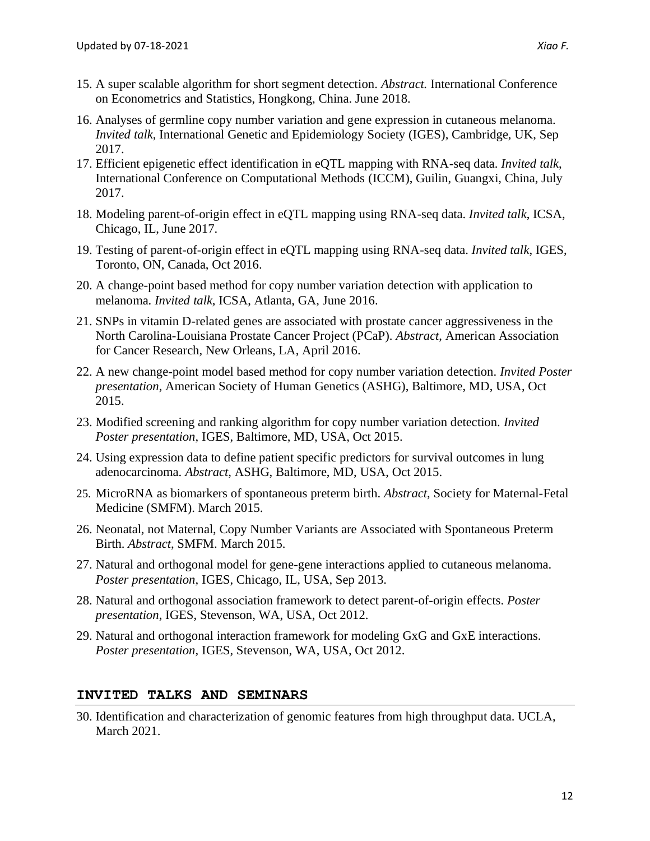- 15. A super scalable algorithm for short segment detection. *Abstract.* International Conference on Econometrics and Statistics, Hongkong, China. June 2018.
- 16. Analyses of germline copy number variation and gene expression in cutaneous melanoma. *Invited talk*, International Genetic and Epidemiology Society (IGES), Cambridge, UK, Sep 2017.
- 17. Efficient epigenetic effect identification in eQTL mapping with RNA-seq data. *Invited talk*, International Conference on Computational Methods (ICCM), Guilin, Guangxi, China, July 2017.
- 18. Modeling parent-of-origin effect in eQTL mapping using RNA-seq data. *Invited talk*, ICSA, Chicago, IL, June 2017.
- 19. Testing of parent-of-origin effect in eQTL mapping using RNA-seq data. *Invited talk*, IGES, Toronto, ON, Canada, Oct 2016.
- 20. A change-point based method for copy number variation detection with application to melanoma. *Invited talk*, ICSA, Atlanta, GA, June 2016.
- 21. SNPs in vitamin D-related genes are associated with prostate cancer aggressiveness in the North Carolina-Louisiana Prostate Cancer Project (PCaP). *Abstract*, American Association for Cancer Research, New Orleans, LA, April 2016.
- 22. A new change-point model based method for copy number variation detection. *Invited Poster presentation*, American Society of Human Genetics (ASHG), Baltimore, MD, USA, Oct 2015.
- 23. Modified screening and ranking algorithm for copy number variation detection. *Invited Poster presentation*, IGES, Baltimore, MD, USA, Oct 2015.
- 24. Using expression data to define patient specific predictors for survival outcomes in lung adenocarcinoma. *Abstract*, ASHG, Baltimore, MD, USA, Oct 2015.
- 25. MicroRNA as biomarkers of spontaneous preterm birth. *Abstract*, Society for Maternal-Fetal Medicine (SMFM). March 2015.
- 26. Neonatal, not Maternal, Copy Number Variants are Associated with Spontaneous Preterm Birth. *Abstract*, SMFM. March 2015.
- 27. Natural and orthogonal model for gene-gene interactions applied to cutaneous melanoma. *Poster presentation*, IGES, Chicago, IL, USA, Sep 2013.
- 28. Natural and orthogonal association framework to detect parent-of-origin effects. *Poster presentation*, IGES, Stevenson, WA, USA, Oct 2012.
- 29. Natural and orthogonal interaction framework for modeling GxG and GxE interactions. *Poster presentation*, IGES, Stevenson, WA, USA, Oct 2012.

# **INVITED TALKS AND SEMINARS**

30. Identification and characterization of genomic features from high throughput data. UCLA, March 2021.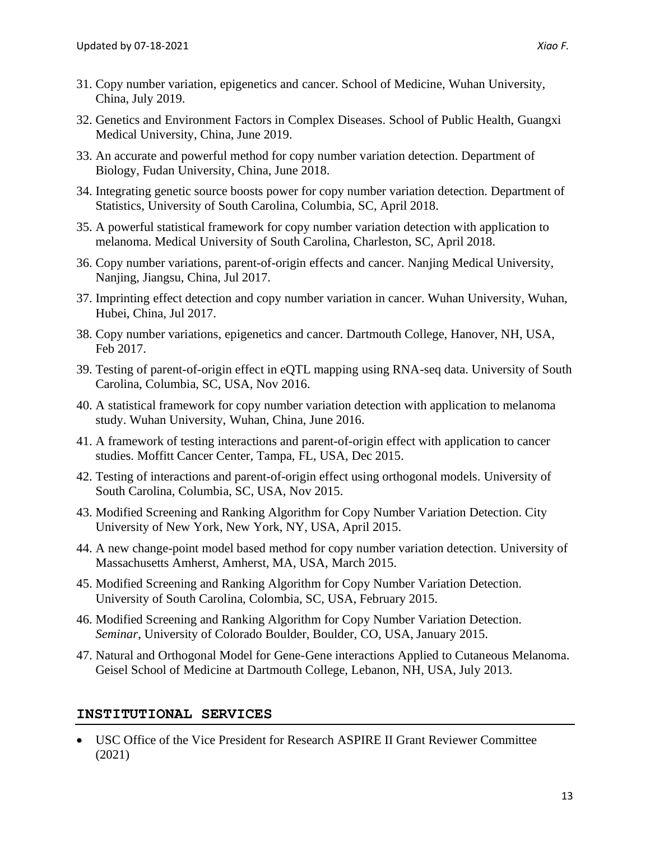- 31. Copy number variation, epigenetics and cancer. School of Medicine, Wuhan University, China, July 2019.
- 32. Genetics and Environment Factors in Complex Diseases. School of Public Health, Guangxi Medical University, China, June 2019.
- 33. An accurate and powerful method for copy number variation detection. Department of Biology, Fudan University, China, June 2018.
- 34. Integrating genetic source boosts power for copy number variation detection. Department of Statistics, University of South Carolina, Columbia, SC, April 2018.
- 35. A powerful statistical framework for copy number variation detection with application to melanoma. Medical University of South Carolina, Charleston, SC, April 2018.
- 36. Copy number variations, parent-of-origin effects and cancer. Nanjing Medical University, Nanjing, Jiangsu, China, Jul 2017.
- 37. Imprinting effect detection and copy number variation in cancer. Wuhan University, Wuhan, Hubei, China, Jul 2017.
- 38. Copy number variations, epigenetics and cancer. Dartmouth College, Hanover, NH, USA, Feb 2017.
- 39. Testing of parent-of-origin effect in eQTL mapping using RNA-seq data. University of South Carolina, Columbia, SC, USA, Nov 2016.
- 40. A statistical framework for copy number variation detection with application to melanoma study. Wuhan University, Wuhan, China, June 2016.
- 41. A framework of testing interactions and parent-of-origin effect with application to cancer studies. Moffitt Cancer Center, Tampa, FL, USA, Dec 2015.
- 42. Testing of interactions and parent-of-origin effect using orthogonal models. University of South Carolina, Columbia, SC, USA, Nov 2015.
- 43. Modified Screening and Ranking Algorithm for Copy Number Variation Detection. City University of New York, New York, NY, USA, April 2015.
- 44. A new change-point model based method for copy number variation detection. University of Massachusetts Amherst, Amherst, MA, USA, March 2015.
- 45. Modified Screening and Ranking Algorithm for Copy Number Variation Detection. University of South Carolina, Colombia, SC, USA, February 2015.
- 46. Modified Screening and Ranking Algorithm for Copy Number Variation Detection. *Seminar*, University of Colorado Boulder, Boulder, CO, USA, January 2015.
- 47. Natural and Orthogonal Model for Gene-Gene interactions Applied to Cutaneous Melanoma. Geisel School of Medicine at Dartmouth College, Lebanon, NH, USA, July 2013.

# **INSTITUTIONAL SERVICES**

• USC Office of the Vice President for Research ASPIRE II Grant Reviewer Committee (2021)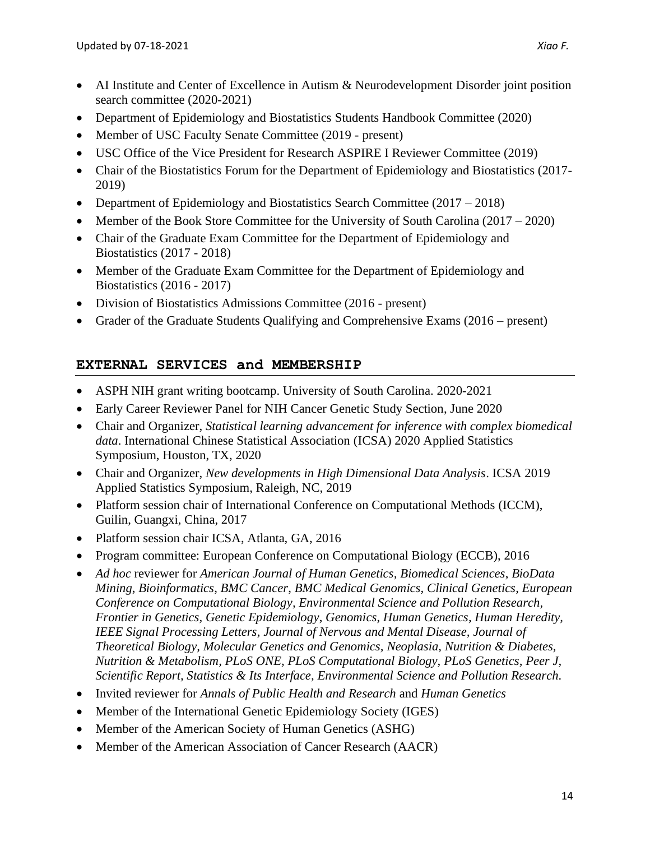- Department of Epidemiology and Biostatistics Students Handbook Committee (2020)
- Member of USC Faculty Senate Committee (2019 present)
- USC Office of the Vice President for Research ASPIRE I Reviewer Committee (2019)
- Chair of the Biostatistics Forum for the Department of Epidemiology and Biostatistics (2017-2019)
- Department of Epidemiology and Biostatistics Search Committee (2017 2018)
- Member of the Book Store Committee for the University of South Carolina  $(2017 2020)$
- Chair of the Graduate Exam Committee for the Department of Epidemiology and Biostatistics (2017 - 2018)
- Member of the Graduate Exam Committee for the Department of Epidemiology and Biostatistics (2016 - 2017)
- Division of Biostatistics Admissions Committee (2016 present)
- Grader of the Graduate Students Qualifying and Comprehensive Exams (2016 present)

# **EXTERNAL SERVICES and MEMBERSHIP**

- ASPH NIH grant writing bootcamp. University of South Carolina. 2020-2021
- Early Career Reviewer Panel for NIH Cancer Genetic Study Section, June 2020
- Chair and Organizer, *Statistical learning advancement for inference with complex biomedical data*. International Chinese Statistical Association (ICSA) 2020 Applied Statistics Symposium, Houston, TX, 2020
- Chair and Organizer, *New developments in High Dimensional Data Analysis*. ICSA 2019 Applied Statistics Symposium, Raleigh, NC, 2019
- Platform session chair of International Conference on Computational Methods (ICCM), Guilin, Guangxi, China, 2017
- Platform session chair ICSA, Atlanta, GA, 2016
- Program committee: European Conference on Computational Biology (ECCB), 2016
- *Ad hoc* reviewer for *American Journal of Human Genetics, Biomedical Sciences*, *BioData Mining*, *Bioinformatics*, *BMC Cancer*, *BMC Medical Genomics, Clinical Genetics*, *European Conference on Computational Biology, Environmental Science and Pollution Research, Frontier in Genetics, Genetic Epidemiology*, *Genomics*, *Human Genetics, Human Heredity, IEEE Signal Processing Letters, Journal of Nervous and Mental Disease, Journal of Theoretical Biology, Molecular Genetics and Genomics, Neoplasia, Nutrition & Diabetes, Nutrition & Metabolism, PLoS ONE, PLoS Computational Biology, PLoS Genetics, Peer J, Scientific Report, Statistics & Its Interface, Environmental Science and Pollution Research.*
- Invited reviewer for *Annals of Public Health and Research* and *Human Genetics*
- Member of the International Genetic Epidemiology Society (IGES)
- Member of the American Society of Human Genetics (ASHG)
- Member of the American Association of Cancer Research (AACR)